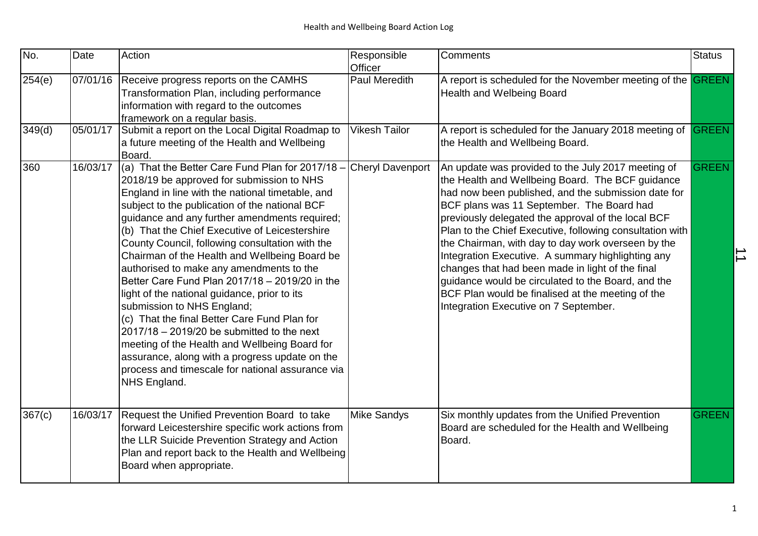| No.    | Date     | Action                                                                                                                                                                                                                                                                                                                                                                                                                                                                                                                                                                                                                                                                                                                                                                                                                                                        | Responsible<br>Officer  | <b>Comments</b>                                                                                                                                                                                                                                                                                                                                                                                                                                                                                                                                                                                                                                 | <b>Status</b> |                |
|--------|----------|---------------------------------------------------------------------------------------------------------------------------------------------------------------------------------------------------------------------------------------------------------------------------------------------------------------------------------------------------------------------------------------------------------------------------------------------------------------------------------------------------------------------------------------------------------------------------------------------------------------------------------------------------------------------------------------------------------------------------------------------------------------------------------------------------------------------------------------------------------------|-------------------------|-------------------------------------------------------------------------------------------------------------------------------------------------------------------------------------------------------------------------------------------------------------------------------------------------------------------------------------------------------------------------------------------------------------------------------------------------------------------------------------------------------------------------------------------------------------------------------------------------------------------------------------------------|---------------|----------------|
| 254(e) |          | 07/01/16 Receive progress reports on the CAMHS<br>Transformation Plan, including performance<br>information with regard to the outcomes<br>framework on a regular basis.                                                                                                                                                                                                                                                                                                                                                                                                                                                                                                                                                                                                                                                                                      | <b>Paul Meredith</b>    | A report is scheduled for the November meeting of the GREEN<br><b>Health and Welbeing Board</b>                                                                                                                                                                                                                                                                                                                                                                                                                                                                                                                                                 |               |                |
| 349(d) | 05/01/17 | Submit a report on the Local Digital Roadmap to<br>a future meeting of the Health and Wellbeing<br>Board.                                                                                                                                                                                                                                                                                                                                                                                                                                                                                                                                                                                                                                                                                                                                                     | <b>Vikesh Tailor</b>    | A report is scheduled for the January 2018 meeting of GREEN<br>the Health and Wellbeing Board.                                                                                                                                                                                                                                                                                                                                                                                                                                                                                                                                                  |               |                |
| 360    | 16/03/17 | (a) That the Better Care Fund Plan for 2017/18 -<br>2018/19 be approved for submission to NHS<br>England in line with the national timetable, and<br>subject to the publication of the national BCF<br>guidance and any further amendments required;<br>(b) That the Chief Executive of Leicestershire<br>County Council, following consultation with the<br>Chairman of the Health and Wellbeing Board be<br>authorised to make any amendments to the<br>Better Care Fund Plan 2017/18 - 2019/20 in the<br>light of the national guidance, prior to its<br>submission to NHS England;<br>(c) That the final Better Care Fund Plan for<br>$2017/18 - 2019/20$ be submitted to the next<br>meeting of the Health and Wellbeing Board for<br>assurance, along with a progress update on the<br>process and timescale for national assurance via<br>NHS England. | <b>Cheryl Davenport</b> | An update was provided to the July 2017 meeting of<br>the Health and Wellbeing Board. The BCF guidance<br>had now been published, and the submission date for<br>BCF plans was 11 September. The Board had<br>previously delegated the approval of the local BCF<br>Plan to the Chief Executive, following consultation with<br>the Chairman, with day to day work overseen by the<br>Integration Executive. A summary highlighting any<br>changes that had been made in light of the final<br>guidance would be circulated to the Board, and the<br>BCF Plan would be finalised at the meeting of the<br>Integration Executive on 7 September. | <b>GREEN</b>  | $\overline{1}$ |
| 367(c) | 16/03/17 | Request the Unified Prevention Board to take<br>forward Leicestershire specific work actions from<br>the LLR Suicide Prevention Strategy and Action<br>Plan and report back to the Health and Wellbeing<br>Board when appropriate.                                                                                                                                                                                                                                                                                                                                                                                                                                                                                                                                                                                                                            | <b>Mike Sandys</b>      | Six monthly updates from the Unified Prevention<br>Board are scheduled for the Health and Wellbeing<br>Board.                                                                                                                                                                                                                                                                                                                                                                                                                                                                                                                                   | GREEN         |                |